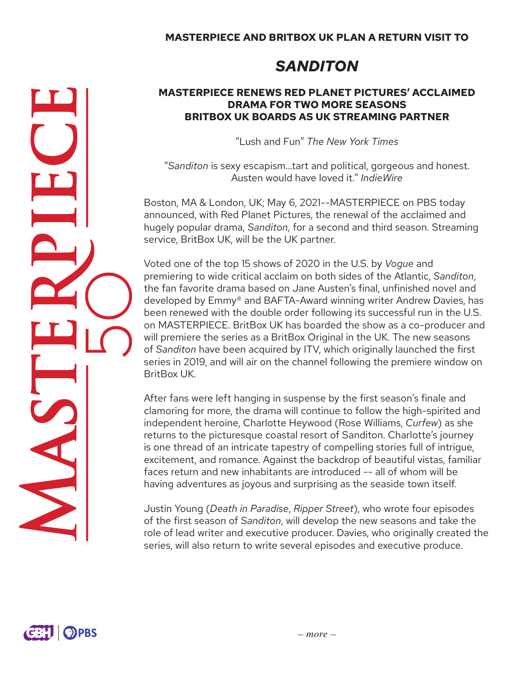# *SANDITON*

#### **MASTERPIECE RENEWS RED PLANET PICTURES' ACCLAIMED DRAMA FOR TWO MORE SEASONS BRITBOX UK BOARDS AS UK STREAMING PARTNER**

"Lush and Fun" *The New York Times*

"*Sanditon* is sexy escapism…tart and political, gorgeous and honest. Austen would have loved it." *IndieWire*

Boston, MA & London, UK; May 6, 2021--MASTERPIECE on PBS today announced, with Red Planet Pictures, the renewal of the acclaimed and hugely popular drama, *Sanditon*, for a second and third season. Streaming service, BritBox UK, will be the UK partner.

Voted one of the top 15 shows of 2020 in the U.S. by *Vogue* and premiering to wide critical acclaim on both sides of the Atlantic, *Sanditon*, the fan favorite drama based on Jane Austen's final, unfinished novel and developed by Emmy® and BAFTA-Award winning writer Andrew Davies, has been renewed with the double order following its successful run in the U.S. on MASTERPIECE. BritBox UK has boarded the show as a co-producer and will premiere the series as a BritBox Original in the UK. The new seasons of *Sanditon* have been acquired by ITV, which originally launched the first series in 2019, and will air on the channel following the premiere window on BritBox UK.

After fans were left hanging in suspense by the first season's finale and clamoring for more, the drama will continue to follow the high-spirited and independent heroine, Charlotte Heywood (Rose Williams, *Curfew*) as she returns to the picturesque coastal resort of Sanditon. Charlotte's journey is one thread of an intricate tapestry of compelling stories full of intrigue, excitement, and romance. Against the backdrop of beautiful vistas, familiar faces return and new inhabitants are introduced -- all of whom will be having adventures as joyous and surprising as the seaside town itself.

Justin Young (*Death in Paradise*, *Ripper Street*), who wrote four episodes of the first season of *Sanditon*, will develop the new seasons and take the role of lead writer and executive producer. Davies, who originally created the series, will also return to write several episodes and executive produce.

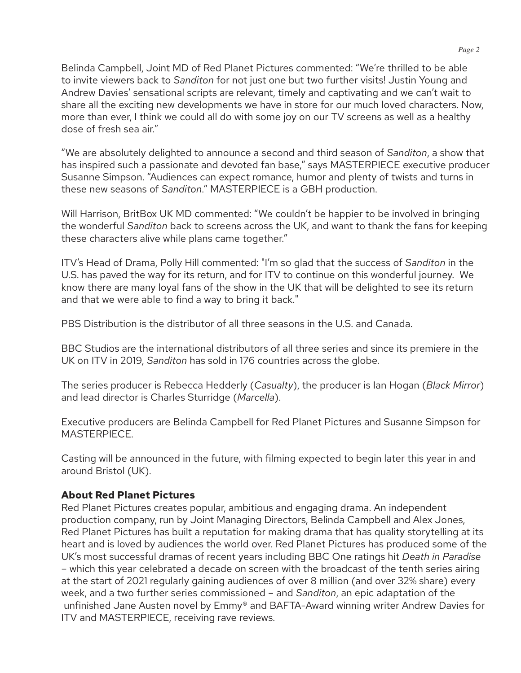Belinda Campbell, Joint MD of Red Planet Pictures commented: "We're thrilled to be able to invite viewers back to *Sanditon* for not just one but two further visits! Justin Young and Andrew Davies' sensational scripts are relevant, timely and captivating and we can't wait to share all the exciting new developments we have in store for our much loved characters. Now, more than ever, I think we could all do with some joy on our TV screens as well as a healthy dose of fresh sea air."

"We are absolutely delighted to announce a second and third season of *Sanditon*, a show that has inspired such a passionate and devoted fan base," says MASTERPIECE executive producer Susanne Simpson. "Audiences can expect romance, humor and plenty of twists and turns in these new seasons of *Sanditon*." MASTERPIECE is a GBH production.

Will Harrison, BritBox UK MD commented: "We couldn't be happier to be involved in bringing the wonderful *Sanditon* back to screens across the UK, and want to thank the fans for keeping these characters alive while plans came together."

ITV's Head of Drama, Polly Hill commented: "I'm so glad that the success of *Sanditon* in the U.S. has paved the way for its return, and for ITV to continue on this wonderful journey. We know there are many loyal fans of the show in the UK that will be delighted to see its return and that we were able to find a way to bring it back."

PBS Distribution is the distributor of all three seasons in the U.S. and Canada.

BBC Studios are the international distributors of all three series and since its premiere in the UK on ITV in 2019, *Sanditon* has sold in 176 countries across the globe.

The series producer is Rebecca Hedderly (*Casualty*), the producer is Ian Hogan (*Black Mirror*) and lead director is Charles Sturridge (*Marcella*).

Executive producers are Belinda Campbell for Red Planet Pictures and Susanne Simpson for MASTERPIECE.

Casting will be announced in the future, with filming expected to begin later this year in and around Bristol (UK).

# **About Red Planet Pictures**

Red Planet Pictures creates popular, ambitious and engaging drama. An independent production company, run by Joint Managing Directors, Belinda Campbell and Alex Jones, Red Planet Pictures has built a reputation for making drama that has quality storytelling at its heart and is loved by audiences the world over. Red Planet Pictures has produced some of the UK's most successful dramas of recent years including BBC One ratings hit *Death in Paradise* – which this year celebrated a decade on screen with the broadcast of the tenth series airing at the start of 2021 regularly gaining audiences of over 8 million (and over 32% share) every week, and a two further series commissioned – and *Sanditon*, an epic adaptation of the unfinished Jane Austen novel by Emmy® and BAFTA-Award winning writer Andrew Davies for ITV and MASTERPIECE, receiving rave reviews.